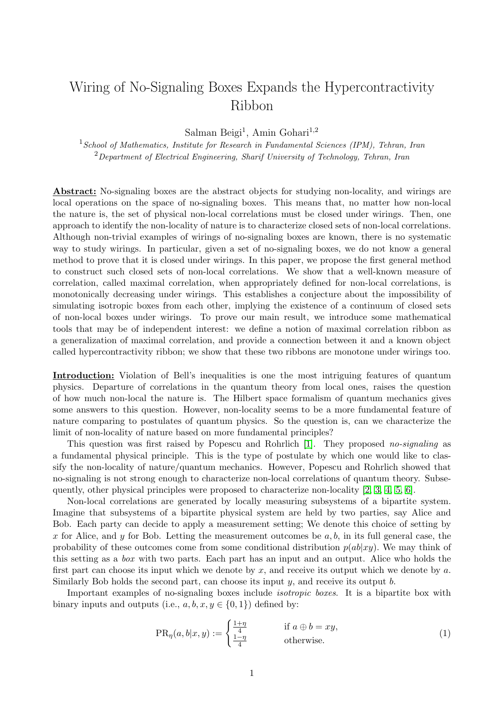## Wiring of No-Signaling Boxes Expands the Hypercontractivity Ribbon

Salman Beigi<sup>1</sup>, Amin Gohari<sup>1,2</sup>

<sup>1</sup> School of Mathematics, Institute for Research in Fundamental Sciences (IPM), Tehran, Iran  $2$ Department of Electrical Engineering, Sharif University of Technology, Tehran, Iran

Abstract: No-signaling boxes are the abstract objects for studying non-locality, and wirings are local operations on the space of no-signaling boxes. This means that, no matter how non-local the nature is, the set of physical non-local correlations must be closed under wirings. Then, one approach to identify the non-locality of nature is to characterize closed sets of non-local correlations. Although non-trivial examples of wirings of no-signaling boxes are known, there is no systematic way to study wirings. In particular, given a set of no-signaling boxes, we do not know a general method to prove that it is closed under wirings. In this paper, we propose the first general method to construct such closed sets of non-local correlations. We show that a well-known measure of correlation, called maximal correlation, when appropriately defined for non-local correlations, is monotonically decreasing under wirings. This establishes a conjecture about the impossibility of simulating isotropic boxes from each other, implying the existence of a continuum of closed sets of non-local boxes under wirings. To prove our main result, we introduce some mathematical tools that may be of independent interest: we define a notion of maximal correlation ribbon as a generalization of maximal correlation, and provide a connection between it and a known object called hypercontractivity ribbon; we show that these two ribbons are monotone under wirings too.

Introduction: Violation of Bell's inequalities is one the most intriguing features of quantum physics. Departure of correlations in the quantum theory from local ones, raises the question of how much non-local the nature is. The Hilbert space formalism of quantum mechanics gives some answers to this question. However, non-locality seems to be a more fundamental feature of nature comparing to postulates of quantum physics. So the question is, can we characterize the limit of non-locality of nature based on more fundamental principles?

This question was first raised by Popescu and Rohrlich [\[1\]](#page-3-0). They proposed no-signaling as a fundamental physical principle. This is the type of postulate by which one would like to classify the non-locality of nature/quantum mechanics. However, Popescu and Rohrlich showed that no-signaling is not strong enough to characterize non-local correlations of quantum theory. Subsequently, other physical principles were proposed to characterize non-locality [\[2,](#page-3-1) [3,](#page-3-2) [4,](#page-3-3) [5,](#page-3-4) [6\]](#page-3-5).

Non-local correlations are generated by locally measuring subsystems of a bipartite system. Imagine that subsystems of a bipartite physical system are held by two parties, say Alice and Bob. Each party can decide to apply a measurement setting; We denote this choice of setting by x for Alice, and y for Bob. Letting the measurement outcomes be  $a, b$ , in its full general case, the probability of these outcomes come from some conditional distribution  $p(ab|xy)$ . We may think of this setting as a box with two parts. Each part has an input and an output. Alice who holds the first part can choose its input which we denote by  $x$ , and receive its output which we denote by  $a$ . Similarly Bob holds the second part, can choose its input y, and receive its output b.

Important examples of no-signaling boxes include isotropic boxes. It is a bipartite box with binary inputs and outputs (i.e.,  $a, b, x, y \in \{0, 1\}$ ) defined by:

$$
PR_{\eta}(a, b|x, y) := \begin{cases} \frac{1+\eta}{4} & \text{if } a \oplus b = xy, \\ \frac{1-\eta}{4} & \text{otherwise.} \end{cases}
$$
 (1)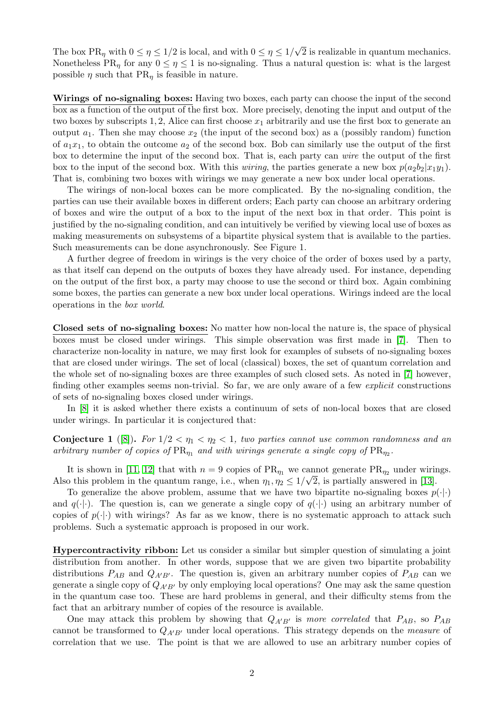The box  $PR_{\eta}$  with  $0 \leq \eta \leq 1/2$  is local, and with  $0 \leq \eta \leq 1/2$ √ 2 is realizable in quantum mechanics. Nonetheless PR<sub> $\eta$ </sub> for any  $0 \leq \eta \leq 1$  is no-signaling. Thus a natural question is: what is the largest possible  $\eta$  such that PR<sub> $\eta$ </sub> is feasible in nature.

Wirings of no-signaling boxes: Having two boxes, each party can choose the input of the second box as a function of the output of the first box. More precisely, denoting the input and output of the two boxes by subscripts 1, 2, Alice can first choose  $x_1$  arbitrarily and use the first box to generate an output  $a_1$ . Then she may choose  $x_2$  (the input of the second box) as a (possibly random) function of  $a_1x_1$ , to obtain the outcome  $a_2$  of the second box. Bob can similarly use the output of the first box to determine the input of the second box. That is, each party can wire the output of the first box to the input of the second box. With this *wiring*, the parties generate a new box  $p(a_2b_2|x_1y_1)$ . That is, combining two boxes with wirings we may generate a new box under local operations.

The wirings of non-local boxes can be more complicated. By the no-signaling condition, the parties can use their available boxes in different orders; Each party can choose an arbitrary ordering of boxes and wire the output of a box to the input of the next box in that order. This point is justified by the no-signaling condition, and can intuitively be verified by viewing local use of boxes as making measurements on subsystems of a bipartite physical system that is available to the parties. Such measurements can be done asynchronously. See Figure 1.

A further degree of freedom in wirings is the very choice of the order of boxes used by a party, as that itself can depend on the outputs of boxes they have already used. For instance, depending on the output of the first box, a party may choose to use the second or third box. Again combining some boxes, the parties can generate a new box under local operations. Wirings indeed are the local operations in the box world.

Closed sets of no-signaling boxes: No matter how non-local the nature is, the space of physical boxes must be closed under wirings. This simple observation was first made in [\[7\]](#page-3-6). Then to characterize non-locality in nature, we may first look for examples of subsets of no-signaling boxes that are closed under wirings. The set of local (classical) boxes, the set of quantum correlation and the whole set of no-signaling boxes are three examples of such closed sets. As noted in [\[7\]](#page-3-6) however, finding other examples seems non-trivial. So far, we are only aware of a few *explicit* constructions of sets of no-signaling boxes closed under wirings.

In [\[8\]](#page-3-7) it is asked whether there exists a continuum of sets of non-local boxes that are closed under wirings. In particular it is conjectured that:

<span id="page-1-0"></span>**Conjecture 1** ([\[8\]](#page-3-7)). For  $1/2 < \eta_1 < \eta_2 < 1$ , two parties cannot use common randomness and an arbitrary number of copies of  $PR_{\eta_1}$  and with wirings generate a single copy of  $PR_{\eta_2}$ .

It is shown in [\[11,](#page-3-8) [12\]](#page-3-9) that with  $n = 9$  copies of  $PR_{\eta_1}$  we cannot generate  $PR_{\eta_2}$  under wirings. Also this problem in the quantum range, i.e., when  $\eta_1, \eta_2 \leq 1/\sqrt{2}$ , is partially answered in [\[13\]](#page-3-10).

To generalize the above problem, assume that we have two bipartite no-signaling boxes  $p(\cdot|\cdot)$ and  $q(\cdot|\cdot)$ . The question is, can we generate a single copy of  $q(\cdot|\cdot)$  using an arbitrary number of copies of  $p(\cdot|\cdot)$  with wirings? As far as we know, there is no systematic approach to attack such problems. Such a systematic approach is proposed in our work.

Hypercontractivity ribbon: Let us consider a similar but simpler question of simulating a joint distribution from another. In other words, suppose that we are given two bipartite probability distributions  $P_{AB}$  and  $Q_{A'B'}$ . The question is, given an arbitrary number copies of  $P_{AB}$  can we generate a single copy of  $Q_{A'B'}$  by only employing local operations? One may ask the same question in the quantum case too. These are hard problems in general, and their difficulty stems from the fact that an arbitrary number of copies of the resource is available.

One may attack this problem by showing that  $Q_{A'B'}$  is more correlated that  $P_{AB}$ , so  $P_{AB}$ cannot be transformed to  $Q_{A'B'}$  under local operations. This strategy depends on the measure of correlation that we use. The point is that we are allowed to use an arbitrary number copies of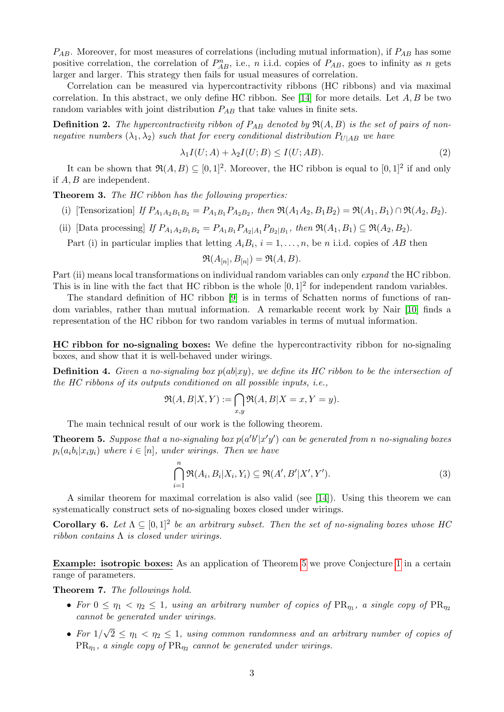$P_{AB}$ . Moreover, for most measures of correlations (including mutual information), if  $P_{AB}$  has some positive correlation, the correlation of  $P_{AB}^n$ , i.e., n i.i.d. copies of  $P_{AB}$ , goes to infinity as n gets larger and larger. This strategy then fails for usual measures of correlation.

Correlation can be measured via hypercontractivity ribbons (HC ribbons) and via maximal correlation. In this abstract, we only define HC ribbon. See [\[14\]](#page-3-11) for more details. Let  $A, B$  be two random variables with joint distribution  $P_{AB}$  that take values in finite sets.

**Definition 2.** The hypercontractivity ribbon of  $P_{AB}$  denoted by  $\Re(A, B)$  is the set of pairs of nonnegative numbers  $(\lambda_1, \lambda_2)$  such that for every conditional distribution  $P_{U|AB}$  we have

$$
\lambda_1 I(U;A) + \lambda_2 I(U;B) \le I(U;AB). \tag{2}
$$

It can be shown that  $\Re(A, B) \subseteq [0, 1]^2$ . Moreover, the HC ribbon is equal to  $[0, 1]^2$  if and only if  $A, B$  are independent.

Theorem 3. The HC ribbon has the following properties:

- (i) [Tensorization] If  $P_{A_1A_2B_1B_2} = P_{A_1B_1}P_{A_2B_2}$ , then  $\Re(A_1A_2, B_1B_2) = \Re(A_1, B_1) \cap \Re(A_2, B_2)$ .
- (ii) [Data processing] If  $P_{A_1A_2B_1B_2} = P_{A_1B_1}P_{A_2|A_1}P_{B_2|B_1}$ , then  $\Re(A_1, B_1) \subseteq \Re(A_2, B_2)$ .

Part (i) in particular implies that letting  $A_i B_i$ ,  $i = 1, \ldots, n$ , be n i.i.d. copies of AB then

$$
\mathfrak{R}(A_{[n]}, B_{[n]}) = \mathfrak{R}(A, B).
$$

Part (ii) means local transformations on individual random variables can only expand the HC ribbon. This is in line with the fact that HC ribbon is the whole  $[0,1]^2$  for independent random variables.

The standard definition of HC ribbon [\[9\]](#page-3-12) is in terms of Schatten norms of functions of random variables, rather than mutual information. A remarkable recent work by Nair [\[10\]](#page-3-13) finds a representation of the HC ribbon for two random variables in terms of mutual information.

HC ribbon for no-signaling boxes: We define the hypercontractivity ribbon for no-signaling boxes, and show that it is well-behaved under wirings.

**Definition 4.** Given a no-signaling box  $p(ab|xy)$ , we define its HC ribbon to be the intersection of the HC ribbons of its outputs conditioned on all possible inputs, i.e.,

$$
\mathfrak{R}(A, B|X, Y) := \bigcap_{x,y} \mathfrak{R}(A, B|X = x, Y = y).
$$

The main technical result of our work is the following theorem.

<span id="page-2-0"></span>**Theorem 5.** Suppose that a no-signaling box  $p(a'b'|x'y')$  can be generated from n no-signaling boxes  $p_i(a_i b_i | x_i y_i)$  where  $i \in [n]$ , under wirings. Then we have

$$
\bigcap_{i=1}^{n} \mathfrak{R}(A_{i}, B_{i}|X_{i}, Y_{i}) \subseteq \mathfrak{R}(A', B'|X', Y'). \tag{3}
$$

A similar theorem for maximal correlation is also valid (see [\[14\]](#page-3-11)). Using this theorem we can systematically construct sets of no-signaling boxes closed under wirings.

**Corollary 6.** Let  $\Lambda \subseteq [0,1]^2$  be an arbitrary subset. Then the set of no-signaling boxes whose HC ribbon contains  $\Lambda$  is closed under wirings.

Example: isotropic boxes: As an application of Theorem [5](#page-2-0) we prove Conjecture [1](#page-1-0) in a certain range of parameters.

Theorem 7. The followings hold.

- For  $0 \leq \eta_1 < \eta_2 \leq 1$ , using an arbitrary number of copies of  $PR_{\eta_1}$ , a single copy of  $PR_{\eta_2}$ cannot be generated under wirings.
- For  $1/$ √  $2 \leq \eta_1 < \eta_2 \leq 1$ , using common randomness and an arbitrary number of copies of  $\text{PR}_{\eta_1}$ , a single copy of  $\text{PR}_{\eta_2}$  cannot be generated under wirings.